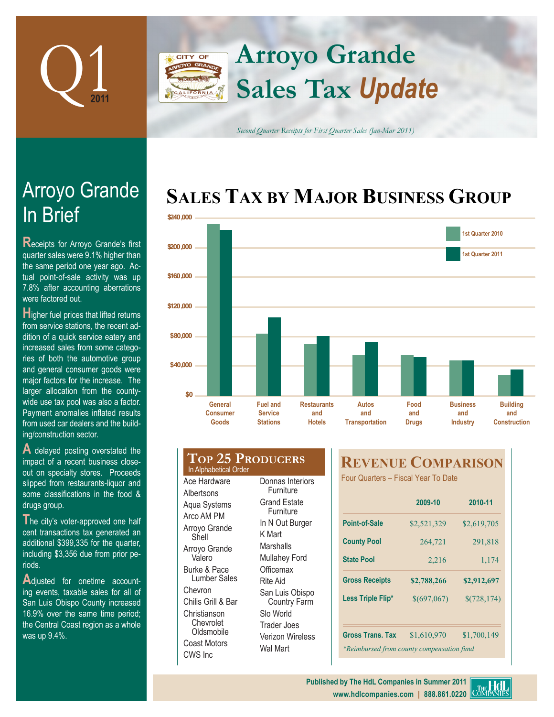

### **Arroyo Grande** CITY OF **Sales Tax** *Update* FORNIA

*Second Quarter Receipts for First Quarter Sales (Jan-Mar 2011)*

## **SALES TAX BY MAJOR BUSINESS GROUP**



# In Brief Arroyo Grande

**Receipts for Arroyo Grande's first** quarter sales were 9.1% higher than the same period one year ago. Actual point-of-sale activity was up 7.8% after accounting aberrations were factored out.

**H**igher fuel prices that lifted returns from service stations, the recent addition of a quick service eatery and increased sales from some categories of both the automotive group and general consumer goods were major factors for the increase. The larger allocation from the countywide use tax pool was also a factor. Payment anomalies inflated results from used car dealers and the building/construction sector.

**A** delayed posting overstated the impact of a recent business closeout on specialty stores. Proceeds slipped from restaurants-liquor and some classifications in the food & drugs group.

The city's voter-approved one half cent transactions tax generated an additional \$399,335 for the quarter, including \$3,356 due from prior periods.

Adjusted for onetime accounting events, taxable sales for all of San Luis Obispo County increased 16.9% over the same time period; the Central Coast region as a whole was up 9.4%.

#### **Top 25 Producers** Ace Hardware **Furniture** In Alphabetical Order

**Albertsons** Aqua Systems Arco AM PM Arroyo Grande Shell Arroyo Grande Valero Burke & Pace Lumber Sales Chevron Chilis Grill & Bar Christianson Chevrolet **Oldsmobile** Coast Motors CWS Inc

Donnas Interiors Grand Estate Furniture In N Out Burger K Mart **Marshalls** Mullahey Ford **Officemax** Rite Aid San Luis Obispo Country Farm Slo World Trader Joes Verizon Wireless Wal Mart

### **REVENUE COMPARISON**

Four Quarters – Fiscal Year To Date

|                                           | 2009-10            | 2010-11<br>\$2,619,705 |  |
|-------------------------------------------|--------------------|------------------------|--|
| Point-of-Sale                             | \$2,521,329        |                        |  |
| <b>County Pool</b>                        | 264,721<br>291,818 |                        |  |
| <b>State Pool</b>                         | 2,216              | 1,174                  |  |
| <b>Gross Receipts</b>                     | \$2,788,266        | \$2,912,697            |  |
| Less Triple Flip*                         | \$(697,067)        | \$(728, 174)           |  |
| <b>Gross Trans. Tax</b>                   | \$1,610,970        | \$1,700,149            |  |
| *Reimbursed from county compensation fund |                    |                        |  |